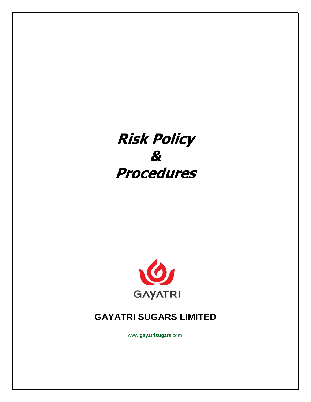# **Risk Policy & Procedures**



# **GAYATRI SUGARS LIMITED**

www.**gayatrisugars**.com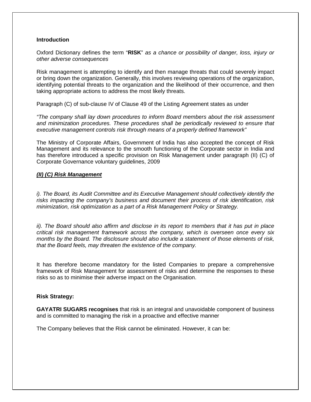# **Introduction**

Oxford Dictionary defines the term "**RISK**" as a chance or possibility of danger, loss, injury or other adverse consequences

Risk management is attempting to identify and then manage threats that could severely impact or bring down the organization. Generally, this involves reviewing operations of the organization, identifying potential threats to the organization and the likelihood of their occurrence, and then taking appropriate actions to address the most likely threats.

Paragraph (C) of sub-clause IV of Clause 49 of the Listing Agreement states as under

"The company shall lay down procedures to inform Board members about the risk assessment and minimization procedures. These procedures shall be periodically reviewed to ensure that executive management controls risk through means of a properly defined framework"

The Ministry of Corporate Affairs, Government of India has also accepted the concept of Risk Management and its relevance to the smooth functioning of the Corporate sector in India and has therefore introduced a specific provision on Risk Management under paragraph (II) (C) of Corporate Governance voluntary guidelines, 2009

# **(II) (C) Risk Management**

i). The Board, its Audit Committee and its Executive Management should collectively identify the risks impacting the company's business and document their process of risk identification, risk minimization, risk optimization as a part of a Risk Management Policy or Strategy.

ii). The Board should also affirm and disclose in its report to members that it has put in place critical risk management framework across the company, which is overseen once every six months by the Board. The disclosure should also include a statement of those elements of risk, that the Board feels, may threaten the existence of the company.

It has therefore become mandatory for the listed Companies to prepare a comprehensive framework of Risk Management for assessment of risks and determine the responses to these risks so as to minimise their adverse impact on the Organisation.

# **Risk Strategy:**

**GAYATRI SUGARS recognises** that risk is an integral and unavoidable component of business and is committed to managing the risk in a proactive and effective manner

The Company believes that the Risk cannot be eliminated. However, it can be: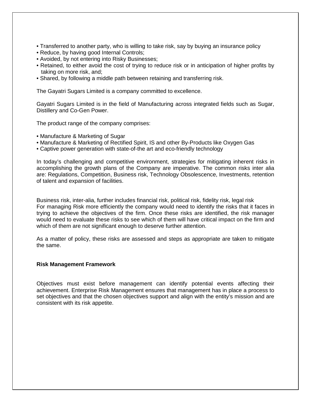- Transferred to another party, who is willing to take risk, say by buying an insurance policy
- Reduce, by having good Internal Controls;
- Avoided, by not entering into Risky Businesses;
- Retained, to either avoid the cost of trying to reduce risk or in anticipation of higher profits by taking on more risk, and;
- Shared, by following a middle path between retaining and transferring risk.

The Gayatri Sugars Limited is a company committed to excellence.

Gayatri Sugars Limited is in the field of Manufacturing across integrated fields such as Sugar, Distillery and Co-Gen Power.

The product range of the company comprises:

- Manufacture & Marketing of Sugar
- Manufacture & Marketing of Rectified Spirit, IS and other By-Products like Oxygen Gas
- Captive power generation with state-of-the art and eco-friendly technology

In today's challenging and competitive environment, strategies for mitigating inherent risks in accomplishing the growth plans of the Company are imperative. The common risks inter alia are: Regulations, Competition, Business risk, Technology Obsolescence, Investments, retention of talent and expansion of facilities.

Business risk, inter-alia, further includes financial risk, political risk, fidelity risk, legal risk For managing Risk more efficiently the company would need to identify the risks that it faces in trying to achieve the objectives of the firm. Once these risks are identified, the risk manager would need to evaluate these risks to see which of them will have critical impact on the firm and which of them are not significant enough to deserve further attention.

As a matter of policy, these risks are assessed and steps as appropriate are taken to mitigate the same.

#### **Risk Management Framework**

Objectives must exist before management can identify potential events affecting their achievement. Enterprise Risk Management ensures that management has in place a process to set objectives and that the chosen objectives support and align with the entity's mission and are consistent with its risk appetite.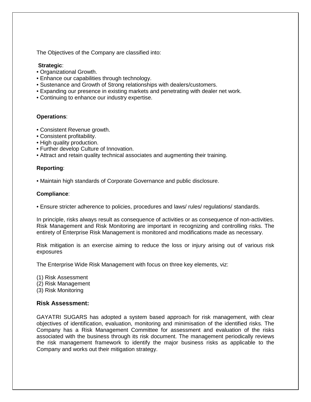The Objectives of the Company are classified into:

#### **Strategic**:

- Organizational Growth.
- Enhance our capabilities through technology.
- Sustenance and Growth of Strong relationships with dealers/customers.
- Expanding our presence in existing markets and penetrating with dealer net work.
- Continuing to enhance our industry expertise.

#### **Operations**:

- Consistent Revenue growth.
- Consistent profitability.
- High quality production.
- Further develop Culture of Innovation.
- Attract and retain quality technical associates and augmenting their training.

#### **Reporting**:

• Maintain high standards of Corporate Governance and public disclosure.

#### **Compliance**:

• Ensure stricter adherence to policies, procedures and laws/ rules/ regulations/ standards.

In principle, risks always result as consequence of activities or as consequence of non-activities. Risk Management and Risk Monitoring are important in recognizing and controlling risks. The entirety of Enterprise Risk Management is monitored and modifications made as necessary.

Risk mitigation is an exercise aiming to reduce the loss or injury arising out of various risk exposures

The Enterprise Wide Risk Management with focus on three key elements, viz:

- (1) Risk Assessment (2) Risk Management
- (3) Risk Monitoring
- 

#### **Risk Assessment:**

GAYATRI SUGARS has adopted a system based approach for risk management, with clear objectives of identification, evaluation, monitoring and minimisation of the identified risks. The Company has a Risk Management Committee for assessment and evaluation of the risks associated with the business through its risk document. The management periodically reviews the risk management framework to identify the major business risks as applicable to the Company and works out their mitigation strategy.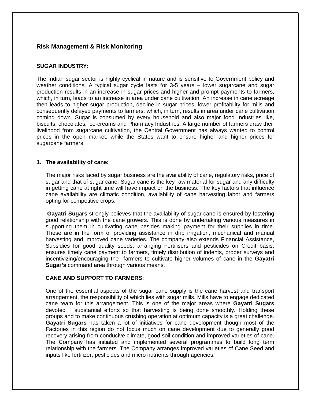# **Risk Management & Risk Monitoring**

# **SUGAR INDUSTRY:**

The Indian sugar sector is highly cyclical in nature and is sensitive to Government policy and weather conditions. A typical sugar cycle lasts for 3-5 years – lower sugarcane and sugar production results in an increase in sugar prices and higher and prompt payments to farmers, which, in turn, leads to an increase in area under cane cultivation. An increase in cane acreage then leads to higher sugar production, decline in sugar prices, lower profitability for mills and consequently delayed payments to farmers, which, in turn, results in area under cane cultivation coming down. Sugar is consumed by every household and also major food Industries like, biscuits, chocolates, ice-creams and Pharmacy Industries. A large number of farmers draw their livelihood from sugarcane cultivation, the Central Government has always wanted to control prices in the open market, while the States want to ensure higher and higher prices for sugarcane farmers.

# **1. The availability of cane:**

The major risks faced by sugar business are the availability of cane, regulatory risks, price of sugar and that of sugar cane. Sugar cane is the key raw material for sugar and any difficulty in getting cane at right time will have impact on the business. The key factors that influence cane availability are climatic condition, availability of cane harvesting labor and farmers opting for competitive crops.

**Gayatri Sugars** strongly believes that the availability of sugar cane is ensured by fostering good relationship with the cane growers. This is done by undertaking various measures in supporting them in cultivating cane besides making payment for their supplies in time. These are in the form of providing assistance in drip irrigation, mechanical and manual harvesting and improved cane varieties. The company also extends Financial Assistance, Subsidies for good quality seeds, arranging Fertilisers and pesticides on Credit basis, ensures timely cane payment to farmers, timely distribution of indents, proper surveys and incentivizing/encouraging the farmers to cultivate higher volumes of cane in the **Gayatri Sugar's** command area through various means.

#### **CANE AND SUPPORT TO FARMERS:**

One of the essential aspects of the sugar cane supply is the cane harvest and transport arrangement, the responsibility of which lies with sugar mills. Mills have to engage dedicated cane team for this arrangement. This is one of the major areas where **Gayatri Sugars** devoted substantial efforts so that harvesting is being done smoothly. Holding these groups and to make continuous crushing operation at optimum capacity is a great challenge. **Gayatri Sugars** has taken a lot of initiatives for cane development though most of the Factories in this region do not focus much on cane development due to generally good recovery arising from conducive climate, good soil condition and improved varieties of cane. The Company has initiated and implemented several programmes to build long term relationship with the farmers. The Company arranges improved varieties of Cane Seed and inputs like fertilizer, pesticides and micro nutrients through agencies.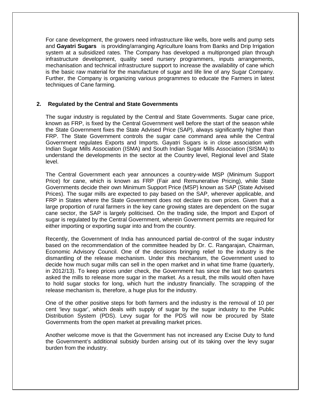For cane development, the growers need infrastructure like wells, bore wells and pump sets and **Gayatri Sugars** is providing/arranging Agriculture loans from Banks and Drip Irrigation system at a subsidized rates. The Company has developed a multipronged plan through infrastructure development, quality seed nursery programmers, inputs arrangements, mechanisation and technical infrastructure support to increase the availability of cane which is the basic raw material for the manufacture of sugar and life line of any Sugar Company. Further, the Company is organizing various programmes to educate the Farmers in latest techniques of Cane farming.

#### **2. Regulated by the Central and State Governments**

The sugar industry is regulated by the Central and State Governments. Sugar cane price, known as FRP, is fixed by the Central Government well before the start of the season while the State Government fixes the State Advised Price (SAP), always significantly higher than FRP. The State Government controls the sugar cane command area while the Central Government regulates Exports and Imports. Gayatri Sugars is in close association with Indian Sugar Mills Association (ISMA) and South Indian Sugar Mills Association (SISMA) to understand the developments in the sector at the Country level, Regional level and State level.

The Central Government each year announces a country-wide MSP (Minimum Support Price) for cane, which is known as FRP (Fair and Remunerative Pricing), while State Governments decide their own Minimum Support Price (MSP) known as SAP (State Advised Prices). The sugar mills are expected to pay based on the SAP, wherever applicable, and FRP in States where the State Government does not declare its own prices. Given that a large proportion of rural farmers in the key cane growing states are dependent on the sugar cane sector, the SAP is largely politicised. On the trading side, the Import and Export of sugar is regulated by the Central Government, wherein Government permits are required for either importing or exporting sugar into and from the country.

Recently, the Government of India has announced partial de-control of the sugar industry based on the recommendation of the committee headed by Dr. C. Rangarajan, Chairman, Economic Advisory Council. One of the decisions bringing relief to the industry is the dismantling of the release mechanism. Under this mechanism, the Government used to decide how much sugar mills can sell in the open market and in what time frame (quarterly, in 2012/13). To keep prices under check, the Government has since the last two quarters asked the mills to release more sugar in the market. As a result, the mills would often have to hold sugar stocks for long, which hurt the industry financially. The scrapping of the release mechanism is, therefore, a huge plus for the industry.

One of the other positive steps for both farmers and the industry is the removal of 10 per cent 'levy sugar', which deals with supply of sugar by the sugar industry to the Public Distribution System (PDS). Levy sugar for the PDS will now be procured by State Governments from the open market at prevailing market prices.

Another welcome move is that the Government has not increased any Excise Duty to fund the Government's additional subsidy burden arising out of its taking over the levy sugar burden from the industry.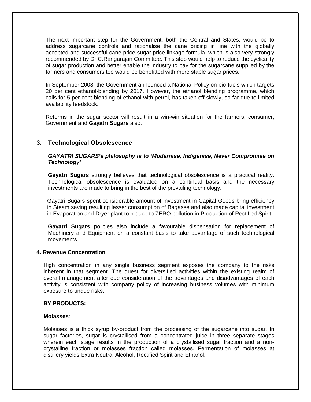The next important step for the Government, both the Central and States, would be to address sugarcane controls and rationalise the cane pricing in line with the globally accepted and successful cane price-sugar price linkage formula, which is also very strongly recommended by Dr.C.Rangarajan Committee. This step would help to reduce the cyclicality of sugar production and better enable the industry to pay for the sugarcane supplied by the farmers and consumers too would be benefitted with more stable sugar prices.

In September 2008, the Government announced a National Policy on bio-fuels which targets 20 per cent ethanol-blending by 2017. However, the ethanol blending programme, which calls for 5 per cent blending of ethanol with petrol, has taken off slowly, so far due to limited availability feedstock.

Reforms in the sugar sector will result in a win-win situation for the farmers, consumer, Government and **Gayatri Sugars** also.

# 3. **Technological Obsolescence**

# **GAYATRI SUGARS's philosophy is to 'Modernise, Indigenise, Never Compromise on Technology'**

**Gayatri Sugars** strongly believes that technological obsolescence is a practical reality. Technological obsolescence is evaluated on a continual basis and the necessary investments are made to bring in the best of the prevailing technology.

Gayatri Sugars spent considerable amount of investment in Capital Goods bring efficiency in Steam saving resulting lesser consumption of Bagasse and also made capital investment in Evaporation and Dryer plant to reduce to ZERO pollution in Production of Rectified Spirit.

**Gayatri Sugars** policies also include a favourable dispensation for replacement of Machinery and Equipment on a constant basis to take advantage of such technological movements

#### **4. Revenue Concentration**

High concentration in any single business segment exposes the company to the risks inherent in that segment. The quest for diversified activities within the existing realm of overall management after due consideration of the advantages and disadvantages of each activity is consistent with company policy of increasing business volumes with minimum exposure to undue risks.

#### **BY PRODUCTS:**

#### **Molasses**:

Molasses is a thick syrup by-product from the processing of the sugarcane into sugar. In sugar factories, sugar is crystallised from a concentrated juice in three separate stages wherein each stage results in the production of a crystallised sugar fraction and a noncrystalline fraction or molasses fraction called molasses. Fermentation of molasses at distillery yields Extra Neutral Alcohol, Rectified Spirit and Ethanol.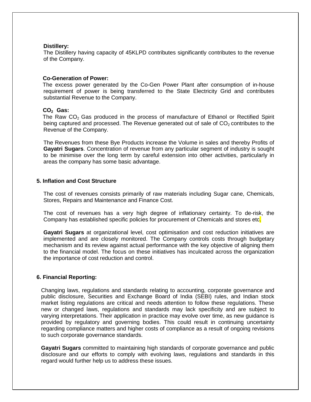#### **Distillery:**

The Distillery having capacity of 45KLPD contributes significantly contributes to the revenue of the Company.

# **Co-Generation of Power:**

 The excess power generated by the Co-Gen Power Plant after consumption of in-house requirement of power is being transferred to the State Electricity Grid and contributes substantial Revenue to the Company.

#### **CO2 Gas:**

The Raw CO<sub>2</sub> Gas produced in the process of manufacture of Ethanol or Rectified Spirit being captured and processed. The Revenue generated out of sale of CO<sub>2</sub> contributes to the Revenue of the Company.

The Revenues from these Bye Products increase the Volume in sales and thereby Profits of **Gayatri Sugars**. Concentration of revenue from any particular segment of industry is sought to be minimise over the long term by careful extension into other activities, particularly in areas the company has some basic advantage.

#### **5. Inflation and Cost Structure**

The cost of revenues consists primarily of raw materials including Sugar cane, Chemicals, Stores, Repairs and Maintenance and Finance Cost.

The cost of revenues has a very high degree of inflationary certainty. To de-risk, the Company has established specific policies for procurement of Chemicals and stores etc.

**Gayatri Sugars** at organizational level, cost optimisation and cost reduction initiatives are implemented and are closely monitored. The Company controls costs through budgetary mechanism and its review against actual performance with the key objective of aligning them to the financial model. The focus on these initiatives has inculcated across the organization the importance of cost reduction and control.

#### **6. Financial Reporting:**

Changing laws, regulations and standards relating to accounting, corporate governance and public disclosure, Securities and Exchange Board of India (SEBI) rules, and Indian stock market listing regulations are critical and needs attention to follow these regulations. These new or changed laws, regulations and standards may lack specificity and are subject to varying interpretations. Their application in practice may evolve over time, as new guidance is provided by regulatory and governing bodies. This could result in continuing uncertainty regarding compliance matters and higher costs of compliance as a result of ongoing revisions to such corporate governance standards.

**Gayatri Sugars** committed to maintaining high standards of corporate governance and public disclosure and our efforts to comply with evolving laws, regulations and standards in this regard would further help us to address these issues.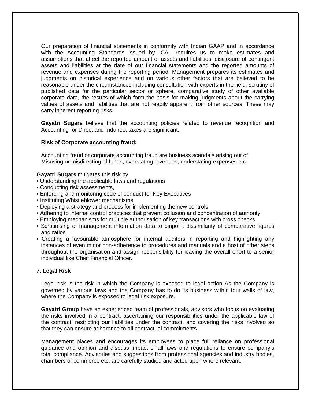Our preparation of financial statements in conformity with Indian GAAP and in accordance with the Accounting Standards issued by ICAI, requires us to make estimates and assumptions that affect the reported amount of assets and liabilities, disclosure of contingent assets and liabilities at the date of our financial statements and the reported amounts of revenue and expenses during the reporting period. Management prepares its estimates and judgments on historical experience and on various other factors that are believed to be reasonable under the circumstances including consultation with experts in the field, scrutiny of published data for the particular sector or sphere, comparative study of other available corporate data, the results of which form the basis for making judgments about the carrying values of assets and liabilities that are not readily apparent from other sources. These may carry inherent reporting risks.

**Gayatri Sugars** believe that the accounting policies related to revenue recognition and Accounting for Direct and Induirect taxes are significant.

# **Risk of Corporate accounting fraud:**

Accounting fraud or corporate accounting fraud are business scandals arising out of Misusing or misdirecting of funds, overstating revenues, understating expenses etc.

#### **Gayatri Sugars** mitigates this risk by

- Understanding the applicable laws and regulations
- Conducting risk assessments,
- Enforcing and monitoring code of conduct for Key Executives
- Instituting Whistleblower mechanisms
- Deploying a strategy and process for implementing the new controls
- Adhering to internal control practices that prevent collusion and concentration of authority
- Employing mechanisms for multiple authorisation of key transactions with cross checks
- Scrutinising of management information data to pinpoint dissimilarity of comparative figures and ratios
- Creating a favourable atmosphere for internal auditors in reporting and highlighting any instances of even minor non-adherence to procedures and manuals and a host of other steps throughout the organisation and assign responsibility for leaving the overall effort to a senior individual like Chief Financial Officer.

#### **7. Legal Risk**

Legal risk is the risk in which the Company is exposed to legal action As the Company is governed by various laws and the Company has to do its business within four walls of law, where the Company is exposed to legal risk exposure.

**Gayatri Group** have an experienced team of professionals, advisors who focus on evaluating the risks involved in a contract, ascertaining our responsibilities under the applicable law of the contract, restricting our liabilities under the contract, and covering the risks involved so that they can ensure adherence to all contractual commitments.

Management places and encourages its employees to place full reliance on professional guidance and opinion and discuss impact of all laws and regulations to ensure company's total compliance. Advisories and suggestions from professional agencies and industry bodies, chambers of commerce etc. are carefully studied and acted upon where relevant.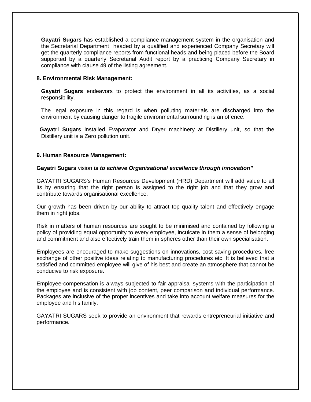**Gayatri Sugars** has established a compliance management system in the organisation and the Secretarial Department headed by a qualified and experienced Company Secretary will get the quarterly compliance reports from functional heads and being placed before the Board supported by a quarterly Secretarial Audit report by a practicing Company Secretary in compliance with clause 49 of the listing agreement.

# **8. Environmental Risk Management:**

 **Gayatri Sugars** endeavors to protect the environment in all its activities, as a social responsibility.

 The legal exposure in this regard is when polluting materials are discharged into the environment by causing danger to fragile environmental surrounding is an offence.

 **Gayatri Sugars** installed Evaporator and Dryer machinery at Distillery unit, so that the Distillery unit is a Zero pollution unit.

#### **9. Human Resource Management:**

#### **Gayatri Sugars** vision **is to achieve Organisational excellence through innovation"**

GAYATRI SUGARS's Human Resources Development (HRD) Department will add value to all its by ensuring that the right person is assigned to the right job and that they grow and contribute towards organisational excellence.

Our growth has been driven by our ability to attract top quality talent and effectively engage them in right jobs.

Risk in matters of human resources are sought to be minimised and contained by following a policy of providing equal opportunity to every employee, inculcate in them a sense of belonging and commitment and also effectively train them in spheres other than their own specialisation.

Employees are encouraged to make suggestions on innovations, cost saving procedures, free exchange of other positive ideas relating to manufacturing procedures etc. It is believed that a satisfied and committed employee will give of his best and create an atmosphere that cannot be conducive to risk exposure.

Employee-compensation is always subjected to fair appraisal systems with the participation of the employee and is consistent with job content, peer comparison and individual performance. Packages are inclusive of the proper incentives and take into account welfare measures for the employee and his family.

GAYATRI SUGARS seek to provide an environment that rewards entrepreneurial initiative and performance.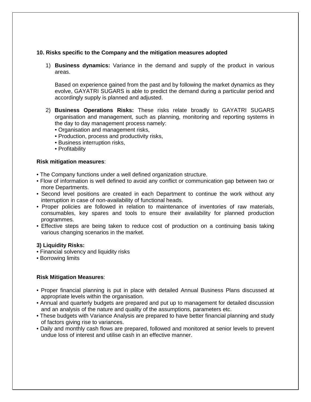# **10. Risks specific to the Company and the mitigation measures adopted**

1) **Business dynamics:** Variance in the demand and supply of the product in various areas.

Based on experience gained from the past and by following the market dynamics as they evolve, GAYATRI SUGARS is able to predict the demand during a particular period and accordingly supply is planned and adjusted.

- 2) **Business Operations Risks:** These risks relate broadly to GAYATRI SUGARS organisation and management, such as planning, monitoring and reporting systems in the day to day management process namely:
	- Organisation and management risks,
	- Production, process and productivity risks,
	- Business interruption risks,
	- Profitability

#### **Risk mitigation measures**:

- The Company functions under a well defined organization structure.
- Flow of information is well defined to avoid any conflict or communication gap between two or more Departments.
- Second level positions are created in each Department to continue the work without any interruption in case of non-availability of functional heads.
- Proper policies are followed in relation to maintenance of inventories of raw materials, consumables, key spares and tools to ensure their availability for planned production programmes.
- Effective steps are being taken to reduce cost of production on a continuing basis taking various changing scenarios in the market.

#### **3) Liquidity Risks:**

- Financial solvency and liquidity risks
- Borrowing limits

#### **Risk Mitigation Measures**:

- Proper financial planning is put in place with detailed Annual Business Plans discussed at appropriate levels within the organisation.
- Annual and quarterly budgets are prepared and put up to management for detailed discussion and an analysis of the nature and quality of the assumptions, parameters etc.
- These budgets with Variance Analysis are prepared to have better financial planning and study of factors giving rise to variances.
- Daily and monthly cash flows are prepared, followed and monitored at senior levels to prevent undue loss of interest and utilise cash in an effective manner.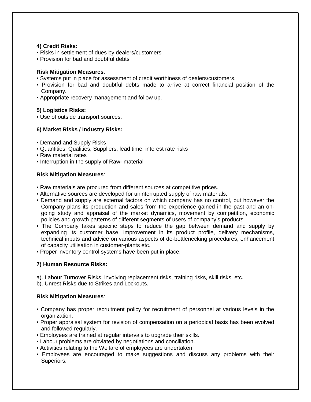# **4) Credit Risks:**

- Risks in settlement of dues by dealers/customers
- Provision for bad and doubtful debts

# **Risk Mitigation Measures**:

- Systems put in place for assessment of credit worthiness of dealers/customers.
- Provision for bad and doubtful debts made to arrive at correct financial position of the Company.
- Appropriate recovery management and follow up.

# **5) Logistics Risks:**

• Use of outside transport sources.

# **6) Market Risks / Industry Risks:**

- Demand and Supply Risks
- Quantities, Qualities, Suppliers, lead time, interest rate risks
- Raw material rates
- Interruption in the supply of Raw- material

# **Risk Mitigation Measures**:

- Raw materials are procured from different sources at competitive prices.
- Alternative sources are developed for uninterrupted supply of raw materials.
- Demand and supply are external factors on which company has no control, but however the Company plans its production and sales from the experience gained in the past and an ongoing study and appraisal of the market dynamics, movement by competition, economic policies and growth patterns of different segments of users of company's products.
- The Company takes specific steps to reduce the gap between demand and supply by expanding its customer base, improvement in its product profile, delivery mechanisms, technical inputs and advice on various aspects of de-bottlenecking procedures, enhancement of capacity utilisation in customer-plants etc.
- Proper inventory control systems have been put in place.

# **7) Human Resource Risks:**

- a). Labour Turnover Risks, involving replacement risks, training risks, skill risks, etc.
- b). Unrest Risks due to Strikes and Lockouts.

# **Risk Mitigation Measures**:

- Company has proper recruitment policy for recruitment of personnel at various levels in the organization.
- Proper appraisal system for revision of compensation on a periodical basis has been evolved and followed regularly.
- Employees are trained at regular intervals to upgrade their skills.
- Labour problems are obviated by negotiations and conciliation.
- Activities relating to the Welfare of employees are undertaken.
- Employees are encouraged to make suggestions and discuss any problems with their Superiors.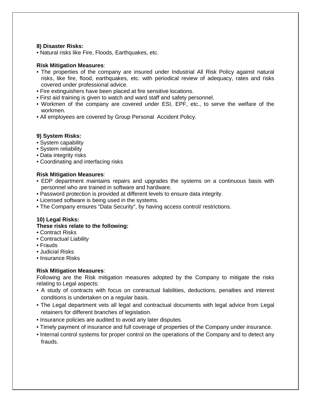# **8) Disaster Risks:**

• Natural risks like Fire, Floods, Earthquakes, etc.

# **Risk Mitigation Measures**:

- The properties of the company are insured under Industrial All Risk Policy against natural risks, like fire, flood, earthquakes, etc. with periodical review of adequacy, rates and risks covered under professional advice.
- Fire extinguishers have been placed at fire sensitive locations.
- First aid training is given to watch and ward staff and safety personnel.
- Workmen of the company are covered under ESI, EPF, etc., to serve the welfare of the workmen.
- All employees are covered by Group Personal Accident Policy.

# **9) System Risks:**

- System capability
- System reliability
- Data integrity risks
- Coordinating and interfacing risks

# **Risk Mitigation Measures**:

- EDP department maintains repairs and upgrades the systems on a continuous basis with personnel who are trained in software and hardware.
- Password protection is provided at different levels to ensure data integrity.
- Licensed software is being used in the systems.
- The Company ensures "Data Security", by having access control/ restrictions.

# **10) Legal Risks:**

# **These risks relate to the following:**

- Contract Risks
- Contractual Liability
- Frauds
- Judicial Risks
- Insurance Risks

# **Risk Mitigation Measures**:

Following are the Risk mitigation measures adopted by the Company to mitigate the risks relating to Legal aspects:

- A study of contracts with focus on contractual liabilities, deductions, penalties and interest conditions is undertaken on a regular basis.
- The Legal department vets all legal and contractual documents with legal advice from Legal retainers for different branches of legislation.
- Insurance policies are audited to avoid any later disputes.
- Timely payment of insurance and full coverage of properties of the Company under insurance.
- Internal control systems for proper control on the operations of the Company and to detect any frauds.